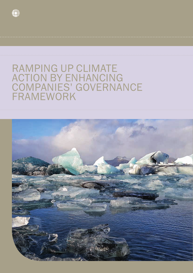

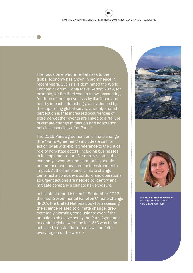33

The focus on environmental risks to the global economy has grown in prominence in recent years. Such risks dominated the World Economic Forum *Global Risks Report 2019*, for example, for the third year in a row, accounting for three of the top five risks by likelihood and four by impact. Interestingly, as evidenced by the supporting global survey, a widely shared perception is that increased occurrences of extreme weather events are linked to a "failure of climate-change mitigation and adaptation" policies, especially after Paris.<sup>1</sup>

The 2015 Paris agreement on climate change (the "Paris Agreement") includes a call for action by all with explicit reference to the critical role of non-state actors, including businesses, in its implementation. For a truly sustainable economy investors and companies should understand and measure their environmental impact. At the same time, climate change can affect a company's portfolio and operations, so urgent actions are needed to identify and mitigate company's climate risk exposure.

In its latest report issued in September 2018, the Inter-Governmental Panel on Climate Change (IPCC), the United Nations body for assessing the science related to climate change, drew extremely alarming conclusions: even if the ambitious objective set by the Paris Agreement to contain global warming to 1.5°C was to be achieved, substantial impacts will be felt in every region of the world.<sup>2</sup>





VESSELINA HARALAMPIEVA SENIOR COUNSEL, EBRD HaralamV@ebrd.com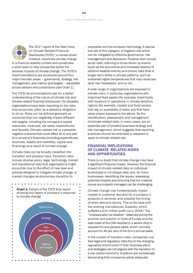LAW IN TRANSITION JOURNAL 2019 34

The 2017 report of the Task Force on Climate-Related Financial Disclosures (TCFD),<sup>3</sup> a market-driven initiative, examines climate change in a financial stability context and constitutes a solid basis to help companies tackle the adverse impacts of climate change. The TCFD's recommendations are structured around four major thematic areas – governance, strategy, risk management, and metrics and targets – adoptable across sectors and jurisdictions (see Chart 1).

The TCFD recommendations ask for a better understanding of the nature of climate risk and climate-related financial disclosures. For decades organisations have been reporting on the risks they encounter, often as a statutory obligation to do so. Risks can be defined generally as outcomes that can negatively impact different risk targets, including the company's capital resources, revenues, net sales, expenditures and liquidity. Climate-related risk is a possible negative outcome that could affect all or any part of a company's financials (including expenditures, revenues, assets and liabilities, capital and financing) as a result of climate change.

Climate risks can be broadly classified into *transition* and *physical* risks. Transition risks include diverse policy, legal, technology, market and reputational risks that organisations might encounter due to the effect of new laws and policies designed to mitigate climate change, or market changes as economies transition to

Chart 1: Extract of the TCFD final report showing four layers of company's response to climate change **Governance**  $\epsilon$ ò **Strategy** ł  $\ddot{\phantom{a}}$ Risk ċ Management  $\bullet$ **Metrics** and Targets

renewable and low-emission technology. A special sub-set of this category, is litigation risk which can be mitigated by effective governance, risk management and disclosure. Physical risks include acute risks, referring to those driven by events (such as the occurrence and increased severity of extreme weather events) and chronic risks (that is, longer-term shifts in climate patterns, such as sustained higher temperatures that may cause sea level rise, heatwaves, and so on).

A wide range of organisations are exposed to climate risks, in particular organisations with long-lived fixed assets (for example, fossil fuels), with locations or operations in climate-sensitive regions (for example, coastal and flood zones); that rely on availability of water and that have value chains exposed to the above. So the identification, assessment and management of climate-related risks, in many cases, are an essential part of prudent business strategy and risk management, which suggests that reporting practices should be extended or adapted to apply to climate-related risk.

#### FINANCIAL IMPLICATIONS OF CLIMATE- RELATED RISKS AND OPPORTUNITIES

There is no doubt that climate change may have a significant financial impact. However, the financial impact of climate-related risks on individual businesses is not always clear and, for many businesses, identifying the issues, assessing potential impacts and ensuring that the material issues are properly managed can be challenging.

Climate change may fundamentally impact market or customer demand for a company's products or services, and possibly the timing of when demand occurs. This is the case with the clothing manufacturer Superdry, which suffered a £10 million profit cut in 2018.<sup>4</sup> The "unseasonably hot weather" observed during the summer and autumn in most of Europe and the east coast of the USA resulted in a severe drop in sweatshirts and jackets sales, which normally account for 45 per cent of the firm's annual sales.

In the context of transition risks, companies may face legal and regulatory risks due to the changing regulatory environment if their business plans and strategies are not aligned with the transition to a low-carbon economy. Investors are increasingly demanding that companies adopt adequate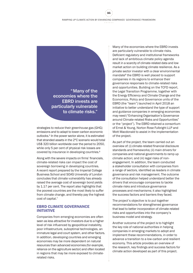35

"Many of the economies where the EBRD invests are particularly vulnerable to climate risks."

strategies to reduce their greenhouse gas (GHG) emissions and to adapt to lower-carbon economic outlooks.<sup>5</sup> In the power sector alone, it is estimated that stranded assets in the 2°C scenario would total US\$ 320 billion worldwide over the period to 2050, while only 5 per cent of physical risk losses are covered by insurance in developing countries.6

Along with the severe impacts on firms' financials, climate-related risks can impact the cost of sovereign borrowing in developing countries. A recent report prepared by the Imperial College Business School and SOAS University of London concludes that climate vulnerability has already raised the average cost of sovereign bond yields by 1.17 per cent. The report also highlights that the poorest countries are the most likely to suffer from climate change, and thereby pay the highest cost of capital.<sup>7</sup>

#### EBRD CLIMATE GOVERNANCE INITIATIVE

Companies from emerging economies are often seen as less attractive for investors due to a higher level of risk influenced by geopolitical instability, poor infrastructure, suboptimal technologies, an immature legal and court system, and other factors. In addition, developing countries and emerging economies may be more dependent on natural resources than advanced economies (for example, reliance on the agriculture sector) and often located in regions that may be more exposed to climaterelated risks.

Many of the economies where the EBRD invests are particularly vulnerable to climate risks. Deficient regulatory and institutional frameworks and lack of ambitious climate policy agenda result in a scarcity of climate-related data and low market action on building climate resilience. As a private sector investor with a clear environmental mandate<sup>8</sup> the EBRD is well placed to support companies in its regions to enhance their governance responses to climate-related risks and opportunities. Building on the TCFD report, the Legal Transition Programme, together with the Energy Efficiency and Climate Change and the Economics, Policy and Governance units of the EBRD (the "team") launched in April 2018 an initiative to better understand the type of support and guidance companies in emerging economies may need ("Enhancing Organisation's Governance around Climate-related Risks and Opportunities" or the "project"). The EBRD retained a consortium of Ernst & Young, Norton Rose Fulbright LLP and Mott Macdonald to assist in the implementation of the project.

As part of the project, the team carried out an overview of: (i) climate-related financial disclosure standards and frameworks; (ii) main drivers for companies and national governments to ramp up climate action; and (iii) legal risks of nonengagement. In addition, the team conducted a stakeholder consultation with companies from a range of sectors, identified as leaders in climate governance and risk management. The outcome of the consultation helped understand better the drivers that encourage companies to tackle climate risks and introduce governance processes and mechanisms; it also highlighted the success factors and barriers they faced.

The project's objective is to put together recommendations for strengthened governance that lead to better incorporation of climate-related risks and opportunities into the company's business model and strategy.

Another outcome of the project is to highlight the key role of national authorities in helping companies in emerging markets to adopt and implement these recommendations, in order to advance a transition to a low-carbon and resilient economy. This article provides an overview of the research, key findings and success factors for climate action developed as part of this project.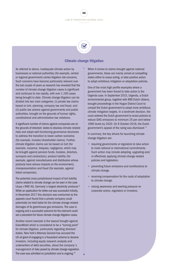



#### Climate change litigation

As referred to above, inadequate climate action by businesses or national authorities (for example, central or regional government) carries litigation risk concerns. Such concerns have become particularly relevant over the last couple of years as research has revealed that the number of climate change litigation cases is significant and continues to rise rapidly, with over 1,100 cases being brought to date. Climate change litigation can be divided into two main categories: (i) private law claims based on tort, planning, company law and fraud, and (ii) public law actions against governments and public authorities, brought on the grounds of human rights, constitutional and administrative law violations.

A significant number of claims against companies are on the grounds of directors' duties to disclose climate-related risks and adopt well-functioning governance structures to address the transition to lower-carbon scenarios (for example, investor/shareholder claims). Further, climate litigation claims can be based on tort (for example, nuisance, trespass, negligence, which may be brought against pension funds, trustees, directors, surveyors and contractors); product liability (for example, against manufacturers and distributors whose products have serious impacts on the environment), misrepresentation and fraud (for example, against listed companies).

The potential cross-jurisdictional impact of tort liability claims related to climate change can be seen in the case Lliuya v RWE AG, Germany's largest electricity producer.9 While an application for strike-out was successful initially, in November 2017 this decision was overturned as the appeals court found that a private company could potentially be held liable for the climate change related damages of its greenhouse gas emissions. The case is ongoing and a successful outcome for the claimant could set a precedent for future climate change litigation cases.

Another recent example is the lawsuit brought against ExxonMobil which is considered to be a "turning point" for climate litigation, particularly regarding directors' duties. New York's Attorney General has accused the US oil giant of engaging in a fraudulent scheme to deceive investors, including equity research analysts and underwriters of debt securities, about the company's management of risks posed by climate change regulation. The case was admitted on jurisdiction and is ongoing.<sup>10</sup>

When it comes to claims brought against national governments, these are mainly aimed at compelling states either to cease acting, or take positive action to adopt ambitious mitigation or adaptation policies.

One of the most high-profile examples where a government has been forced to take action is the Urgenda case. In September 2015, Urgenda, a Dutch environmental group, together with 886 Dutch citizens, brought proceedings in the Hague District Court to compel the Dutch government to adopt more ambitious climate mitigation targets. In a landmark decision, the court ordered the Dutch government to enact policies to reduce GHG emissions to minimum 25 per cent below 1990 levels by 2020. On 9 October 2018, the Dutch government's appeal of the ruling was dismissed. $11$ 

In summary, the key drivers for launching climate change litigation are:

- requiring governments or regulators to take action to meet national or international commitments. Such action may include adopting, upgrading and/ or effectively applying climate change related policies and legislation.
- preventing future emissions and contributions to climate change.
- receiving compensation for the costs of adaptation to climate change.
- raising awareness and exerting pressure on corporate actors, regulators or investors.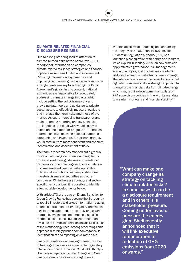37

#### CLIMATE-RELATED FINANCIAL DISCLOSURE REGIMES

Due to a long-standing lack of attention to climate-related risks at the board level, TCFD reports that information on companies' climate-related resilience strategies and financial implications remains limited and inconsistent. Reducing information asymmetries and improving companies' governance and disclosure arrangements are key to achieving the Paris Agreement's goals. In this context, national authorities are responsible for adequately addressing climate change impacts, which include setting the policy framework and providing data, tools and guidance to private sector actors to effectively measure, evaluate and manage their own risks and those of the market. As such, increasing transparency and mainstreaming reporting on how such risks are identified and dealt with would catalyse action and help monitor progress as it enables information flows between national authorities, companies and investors. Better transparency would contribute to more consistent and coherent identification and assessment of risks.

The team's research has mapped out a gradual move of national governments and regulators towards developing guidelines and regulatory frameworks for enhancing disclosure in relation to climate-related financial risks applicable to financial institutions, insurers, institutional investors, issuers of securities and other companies. While there are country- and sectorspecific particularities, it is possible to identify a few notable developments below.

With article 173 of the Law on Energy Transition for Green Growth, France has become the first country to require investors to disclose information relating to their contribution to climate goals. The French legislator has adopted the "comply or explain" approach, which does not impose a specific method of compliance but obliges institutional investors to provide information on and justification of the methodology used. Among other things, this approach discretely pushes companies to tackle identification of and reporting on climate risks.

Financial regulators increasingly make the case of treating climate risk as a matter for regulatory intervention. The UK Financial Conduct Authority's Discussion Paper on Climate Change and Green Finance, clearly provides such arguments

with the objective of protecting and enhancing the integrity of the UK financial system. The Prudential Regulation Authority (PRA) has launched a consultation with banks and insurers, which expired in January 2019, on how firms can apply effective governance, risk management, scenario analysis, and disclosures in order to address the financial risks from climate change. The intended outcome of the consultation is that regulated companies take a strategic approach to managing the financial risks from climate change, which may require development or update of PRA supervisory policies in line with its mandate to maintain monetary and financial stability.<sup>12</sup>

> "What can make one company change its strategy on tackling climate-related risks? In some cases it can be a disclosure requirement and in others it is stakeholder pressure. Coming under investor pressure the energy giant Shell recently announced that it will link executive remuneration to reduction of GHG emissions from 2020 onwards."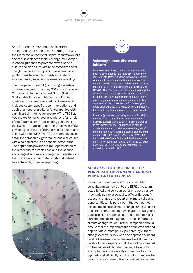LAW IN TRANSITION JOURNAL 2019  $2.2.2.2.2.1$ 

38

Some emerging economies have started strengthening extra-financial reporting. In 2017, the Moroccan Authority for Capital Markets (AMMC) and the Casablanca Stock Exchange, for example, released guidance to promote extra-financial culture and disclosure within the corporate sector. This guidance also supports companies using public loans to adapt to possible mandatory environmental, social and governance reporting.

The European Union (EU) is moving towards a disclosure regime. In January 2019, the European Commission Technical Expert Group (TEG) on Sustainable Finance published non-binding guidelines for climate-related disclosure, which includes sector-specific recommendations and additional reporting criteria for companies with significant climate risk exposure.<sup>13</sup> The TEG had been asked to make recommendations for revision of the Commissions' non-binding guidelines of the EU Non-Financial Reporting Directive (NFRD) governing disclosure of climate-related information in line with the TCFD. The TEG's report covers in detail the companies' governance and disclosures with a particular focus on financial sector firms. The arguments provided in the report related to the materiality of climate risks and the need to adopt urgent actions encourage the understanding that such risks, when material, should indeed be captured by financial reporting.





More companies have opted to provide information about their climate risk exposure beyond regulatory requirements. Research shows that among numerous voluntary disclosure standards, companies opt for the most detailed ones such as the Carbon Disclosure Project (CDP). CDP represents over 650 investors with US\$ 87 trillion<sup>14</sup> of assets, which is more than the global GDP. It is a tremendous platform that has transformed corporate governance and carbon management by promoting transparency and accountability. It allows companies to benchmark their performance against peers which will undeniably have positive implications for the individual companies and the sector overall.

Increasingly, investors are taking a position to mitigate the threats of climate change. In recent months, investors overseeing US\$ 32 trillion in assets signed up to the Investor Agenda – an initiative created to accelerate actions critical to achieving the goals of the Paris Agreement. Other initiatives include Climate Action 100+, UK's Green Finance Task Force (GFI), the Sustainable Stock Exchange Initiative and many more. An UN-led initiative calls for banks to consider borrowers' voluntary disclosure information in assessing their credit risk.15

#### SUCCESS FACTORS FOR BETTER CORPORATE GOVERNANCE AROUND CLIMATE-RELATED RISKS

Based on the outcome of the stakeholder consultation carried out by the EBRD, the team established that companies' strong governance mechanisms are essential to efficiently identify, assess, manage and report on climate risks and opportunities. It is paramount that companies include the topic of climate change during all board meetings or any meetings when group strategy and business plan are discussed, and therefore make sure that the top management is kept informed on climate change issues. Further, companies should ensure that the implementation of an efficient and appropriate climate policy, prepared by climate change experts, is reviewed and approved at board level. All governance bodies involved at various levels of the company should be well coordinated on the issues of climate change, allowing for example the sustainability committee to work regularly and efficiently with the risk committee, the health and safety executive committee, and others.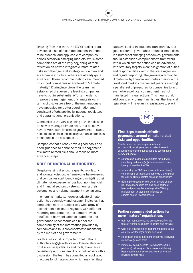39

Drawing from this work, the EBRD project team developed a set of recommendations, intended to be practical and applicable to companies across sectors in emerging markets. While some companies are at the very beginning of their reflection on how to integrate climate-related risks into their general strategy, action plan and governance structure, others are already quite advanced. These recommendations are intended to support companies at any level of "climate maturity". During interviews the team has established that even the leading companies have to put in substantial efforts in order to improve the management of climate risks. In terms of disclosure a few of the multi-nationals have appealed for better coordination and consistent efforts applied by national regulators and supra-national organisations.

Companies at the very beginning of their reflection on how to manage climate risks, that do not yet have any structure for climate governance in place, need to put in place the initial governance practices presented in the box opposite.

Companies that already have a good basis and need guidance to enhance their management of climate-related risks should focus on more advanced steps.

#### ROLE OF NATIONAL AUTHORITIES

Despite varying disclosure quality, regulatory and voluntary disclosure frameworks have ensured that companies start identifying and mitigating their climate risk exposure, across both non-financial and financial sectors by strengthening their governance and risk management mechanisms.

In emerging markets, however, private climate action has been slow and research indicates that companies may be subject to a wide array of inconsistent disclosure regimes, with different reporting requirements and scrutiny levels. Insufficient harmonisation of standards and governance benchmarks can hinder the comparability of the information provided by companies and thus prevent effective monitoring by the market and governments.

For this reason, it is important that national authorities engage with stakeholders to elaborate on disclosure guidelines and tools, to enhance consistency and comparability. To help advance this discussion, the team has compiled a list of good practices for climate action, which may facilitate

data availability, institutional transparency and good corporate governance around climate risks. In a number of emerging economies, governments should establish a comprehensive framework within which climate action can be advanced, with statutory targets, clear assignation of duties and responsibilities within the state agencies, and regular reporting. The growing attention to climate risk by financial authorities mainly in the developed markets over recent years is exerting a parallel set of pressures for companies to act, even where political commitment has not manifested in clear actions. This means that, in addition to environment ministries, the financial regulators will have an increasing role to play in



#### First steps towards effective governance around climate-related risks and opportunities

Clearly define the role, responsibility and accountability of all governance bodies involved; ensuring efficient communication and coordination between them by:

- establishing a separate committee tasked with identifying and managing climate-related issues, ideally chaired by the CEO
- announcing the CEO's (or other senior executives') commitments to set out and adhere to a clear policy for tackling climate-related risks and opportunities
- defining the frequency with which climate change risk and opportunities are discussed at Board level and plan regular meetings with CEO/top management to keep them informed on climate-related financial issues.

#### Further recommended actions for more "mature" organisations

- train key management and executive staff on the topic of climate risks (both transition and physical)
- work with local teams on scenario modelling to use as a key tool for organisation decisions
- collectively engage in sectoral initiatives to develop methodologies and tools
- initiate co-learning events (roundtables, online platforms), allowing for discussions and sharing best practice at the sector and regional level on physical climate risks.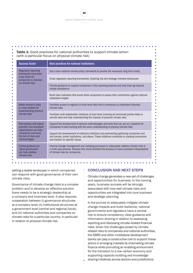#### Table 1: Good practices for national authorities to support climate action (with a particular focus on physical climate risk)

| <b>Success factor</b>                                                                                                                          | Best practices for national institutions                                                                                                                                                                                            |
|------------------------------------------------------------------------------------------------------------------------------------------------|-------------------------------------------------------------------------------------------------------------------------------------------------------------------------------------------------------------------------------------|
| <b>Regulatory reporting</b><br>frameworks have been<br>a key driver for<br>companies to disclose<br>on climate risks                           | Set a clear national climate policy framework to provide the necessary long-term clarity                                                                                                                                            |
|                                                                                                                                                | Enact regulatory reporting frameworks, fostering risk and strategy-oriented disclosures                                                                                                                                             |
|                                                                                                                                                | Provide guidance to support companies in this reporting exercise and help them go beyond<br>simple compliance                                                                                                                       |
|                                                                                                                                                | Build clear indicators that would allow companies to assess their contribution against national<br>adaptation targets                                                                                                               |
| Better access to data<br>is a key enabler for<br>understanding physical<br>climate risks                                                       | Facilitate access to regional or local-level data that is necessary to understand physical<br>climate risks.                                                                                                                        |
|                                                                                                                                                | Facilitate multi-stakeholder initiatives at local level involving all concerned parties likely to<br>provide data and help understanding the impacts of physical climate risks.                                                     |
| Partnerships with expert<br>scientific and analytical<br>organisations can help<br>companies overcome<br>the lack of data and<br>methodologies | Support the development of sectoral methodologies and tools that can act as a baseline for<br>companies to start working with the same understanding of physical climate risks                                                      |
|                                                                                                                                                | Support the development of collective initiatives and partnerships gathering companies and<br>civil society, public institutions, and others. These initiatives contribute to creating momentum<br>and traction on specific issues. |
| Further guidance on<br>"good governance"<br>can help address<br>climate risks                                                                  | Internal change management and updating processes to adequately address climate risks is<br>a multi-year process. However this could facilitate the process of more consistent interpretation<br>of climate risks by companies.     |

setting a stable landscape in which companies can respond with good governance of their own climate risks.

Governance of climate change risks is a complex problem and to develop an effective solution there needs to be a strategic leadership at a company and business level. It also requires cooperation between (i) governance structures at a company level; (ii) institutional structures at a government level (central and regional/local); and (iii) national authorities and companies on climate risks for a particular country, in particular in relation to physical climate risk.

#### CONCLUSION AND NEXT STEPS

Climate change generates a new set of challenges and opportunities for business. In the coming years, business success will be strongly associated with how well climate risks and opportunities are integrated into core business and strategic planning.

In the journey to adequately mitigate climate change impacts and build resilience, national governments and regulators have a central role to ensure consistency, clear guidance and information-sharing in relation to assessing, reporting and disclosing climate-related financial risks. Given the challenges posed by climaterelated risks to companies and national authorities, the EBRD and other multilateral development banks can play a constructive role to support these actors in emerging markets by channelling climate finance while promoting an enabling environment for the transition to a low-carbon economy and supporting capacity-building and knowledgesharing initiatives across sectors and jurisdictions.